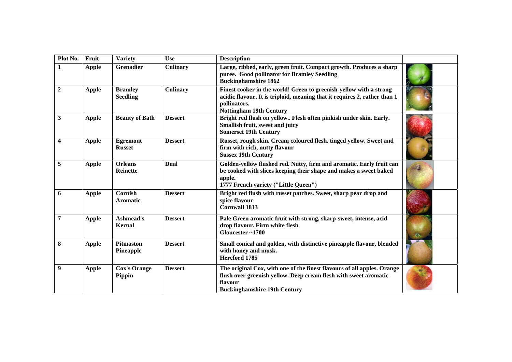| Plot No.                | Fruit        | <b>Variety</b>                    | <b>Use</b>      | <b>Description</b>                                                                                                                                                                                |     |
|-------------------------|--------------|-----------------------------------|-----------------|---------------------------------------------------------------------------------------------------------------------------------------------------------------------------------------------------|-----|
| 1                       | <b>Apple</b> | Grenadier                         | <b>Culinary</b> | Large, ribbed, early, green fruit. Compact growth. Produces a sharp<br>puree. Good pollinator for Bramley Seedling<br><b>Buckinghamshire 1862</b>                                                 |     |
| $\boldsymbol{2}$        | <b>Apple</b> | <b>Bramley</b><br><b>Seedling</b> | <b>Culinary</b> | Finest cooker in the world! Green to greenish-yellow with a strong<br>acidic flavour. It is triploid, meaning that it requires 2, rather than 1<br>pollinators.<br><b>Nottingham 19th Century</b> |     |
| $\mathbf{3}$            | <b>Apple</b> | <b>Beauty of Bath</b>             | <b>Dessert</b>  | Bright red flush on yellow Flesh often pinkish under skin. Early.<br>Smallish fruit, sweet and juicy<br><b>Somerset 19th Century</b>                                                              |     |
| $\overline{\mathbf{4}}$ | <b>Apple</b> | <b>Egremont</b><br><b>Russet</b>  | <b>Dessert</b>  | Russet, rough skin. Cream coloured flesh, tinged yellow. Sweet and<br>firm with rich, nutty flavour<br><b>Sussex 19th Century</b>                                                                 |     |
| 5                       | <b>Apple</b> | <b>Orleans</b><br><b>Reinette</b> | Dual            | Golden-yellow flushed red. Nutty, firm and aromatic. Early fruit can<br>be cooked with slices keeping their shape and makes a sweet baked<br>apple.<br>1777 French variety ("Little Queen")       |     |
| 6                       | <b>Apple</b> | Cornish<br><b>Aromatic</b>        | <b>Dessert</b>  | Bright red flush with russet patches. Sweet, sharp pear drop and<br>spice flavour<br><b>Cornwall 1813</b>                                                                                         |     |
| $\overline{7}$          | <b>Apple</b> | Ashmead's<br><b>Kernal</b>        | <b>Dessert</b>  | Pale Green aromatic fruit with strong, sharp-sweet, intense, acid<br>drop flavour. Firm white flesh<br>Gloucester~1700                                                                            | 增长  |
| 8                       | <b>Apple</b> | Pitmaston<br>Pineapple            | <b>Dessert</b>  | Small conical and golden, with distinctive pineapple flavour, blended<br>with honey and musk.<br>Hereford 1785                                                                                    |     |
| 9                       | <b>Apple</b> | <b>Cox's Orange</b><br>Pippin     | <b>Dessert</b>  | The original Cox, with one of the finest flavours of all apples. Orange<br>flush over greenish yellow. Deep cream flesh with sweet aromatic<br>flavour<br><b>Buckinghamshire 19th Century</b>     | as. |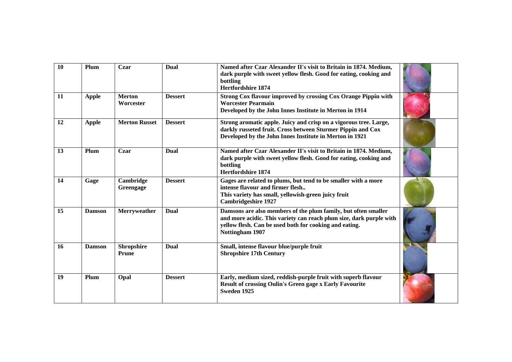| <b>10</b> | Plum          | Czar                              | <b>Dual</b>    | Named after Czar Alexander II's visit to Britain in 1874. Medium,<br>dark purple with sweet yellow flesh. Good for eating, cooking and<br>bottling<br><b>Hertfordshire 1874</b>                                    |  |
|-----------|---------------|-----------------------------------|----------------|--------------------------------------------------------------------------------------------------------------------------------------------------------------------------------------------------------------------|--|
| 11        | <b>Apple</b>  | <b>Merton</b><br>Worcester        | <b>Dessert</b> | Strong Cox flavour improved by crossing Cox Orange Pippin with<br><b>Worcester Pearmain</b><br>Developed by the John Innes Institute in Merton in 1914                                                             |  |
| 12        | <b>Apple</b>  | <b>Merton Russet</b>              | <b>Dessert</b> | Strong aromatic apple. Juicy and crisp on a vigorous tree. Large,<br>darkly russeted fruit. Cross between Sturmer Pippin and Cox<br>Developed by the John Innes Institute in Merton in 1921                        |  |
| 13        | Plum          | Czar                              | Dual           | Named after Czar Alexander II's visit to Britain in 1874. Medium,<br>dark purple with sweet yellow flesh. Good for eating, cooking and<br>bottling<br><b>Hertfordshire 1874</b>                                    |  |
| 14        | Gage          | Cambridge<br>Greengage            | <b>Dessert</b> | Gages are related to plums, but tend to be smaller with a more<br>intense flavour and firmer flesh<br>This variety has small, yellowish-green juicy fruit<br><b>Cambridgeshire 1927</b>                            |  |
| 15        | <b>Damson</b> | Merryweather                      | Dual           | Damsons are also members of the plum family, but often smaller<br>and more acidic. This variety can reach plum size, dark purple with<br>yellow flesh. Can be used both for cooking and eating.<br>Nottingham 1907 |  |
| 16        | <b>Damson</b> | <b>Shropshire</b><br><b>Prune</b> | Dual           | Small, intense flavour blue/purple fruit<br><b>Shropshire 17th Century</b>                                                                                                                                         |  |
| 19        | Plum          | Opal                              | <b>Dessert</b> | Early, medium sized, reddish-purple fruit with superb flavour<br><b>Result of crossing Oulin's Green gage x Early Favourite</b><br>Sweden 1925                                                                     |  |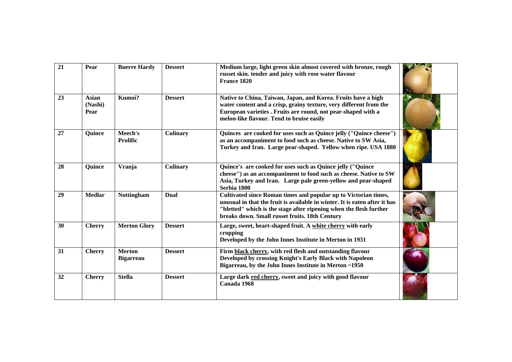| 21 | Pear                     | <b>Buerre Hardy</b>               | <b>Dessert</b>  | Medium large, light green skin almost covered with bronze, rough<br>russet skin. tender and juicy with rose water flavour<br>France 1820                                                                                                                              |  |
|----|--------------------------|-----------------------------------|-----------------|-----------------------------------------------------------------------------------------------------------------------------------------------------------------------------------------------------------------------------------------------------------------------|--|
| 23 | Asian<br>(Nashi)<br>Pear | Kumoi?                            | <b>Dessert</b>  | Native to China, Taiwan, Japan, and Korea. Fruits have a high<br>water content and a crisp, grainy texture, very different from the<br>European varieties . Fruits are round, not pear-shaped with a<br>melon-like flavour. Tend to bruise easily                     |  |
| 27 | Quince                   | Meech's<br><b>Prolific</b>        | <b>Culinary</b> | Quinces are cooked for uses such as Quince jelly ("Quince cheese")<br>as an accompaniment to food such as cheese. Native to SW Asia,<br>Turkey and Iran. Large pear-shaped. Yellow when ripe. USA 1880                                                                |  |
| 28 | <b>Quince</b>            | Vranja                            | <b>Culinary</b> | Quince's are cooked for uses such as Quince jelly ("Quince<br>cheese") as an accompaniment to food such as cheese. Native to SW<br>Asia, Turkey and Iran. Large pale green-yellow and pear-shaped<br>Serbia 1800                                                      |  |
| 29 | <b>Medlar</b>            | <b>Nottingham</b>                 | Dual            | Cultivated since Roman times and popular up to Victorian times,<br>unusual in that the fruit is available in winter. It is eaten after it has<br>"bletted" which is the stage after ripening when the flesh further<br>breaks down. Small russet fruits. 18th Century |  |
| 30 | <b>Cherry</b>            | <b>Merton Glory</b>               | <b>Dessert</b>  | Large, sweet, heart-shaped fruit. A white cherry with early<br>cropping<br>Developed by the John Innes Institute in Merton in 1931                                                                                                                                    |  |
| 31 | <b>Cherry</b>            | <b>Merton</b><br><b>Bigarreau</b> | <b>Dessert</b>  | Firm black cherry, with red flesh and outstanding flavour<br>Developed by crossing Knight's Early Black with Napoleon<br>Bigarreau, by the John Innes Institute in Merton ~1950                                                                                       |  |
| 32 | <b>Cherry</b>            | <b>Stella</b>                     | <b>Dessert</b>  | Large dark red cherry, sweet and juicy with good flavour<br>Canada 1968                                                                                                                                                                                               |  |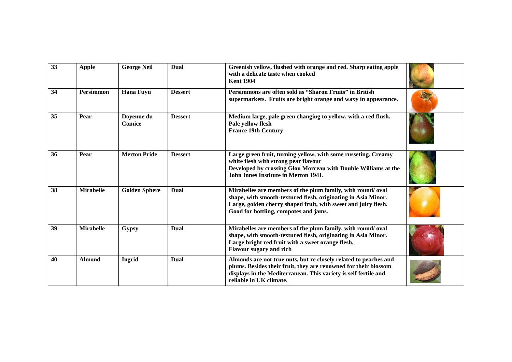| 33 | <b>Apple</b>     | <b>George Neil</b>          | <b>Dual</b>    | Greenish yellow, flushed with orange and red. Sharp eating apple<br>with a delicate taste when cooked<br><b>Kent 1904</b>                                                                                                              |  |
|----|------------------|-----------------------------|----------------|----------------------------------------------------------------------------------------------------------------------------------------------------------------------------------------------------------------------------------------|--|
| 34 | <b>Persimmon</b> | <b>Hana Fuyu</b>            | <b>Dessert</b> | Persimmons are often sold as "Sharon Fruits" in British<br>supermarkets. Fruits are bright orange and waxy in appearance.                                                                                                              |  |
| 35 | Pear             | Doyenne du<br><b>Comice</b> | <b>Dessert</b> | Medium large, pale green changing to yellow, with a red flush.<br>Pale yellow flesh<br><b>France 19th Century</b>                                                                                                                      |  |
| 36 | Pear             | <b>Merton Pride</b>         | <b>Dessert</b> | Large green fruit, turning yellow, with some russeting. Creamy<br>white flesh with strong pear flavour<br>Developed by crossing Glou Morceau with Double Williams at the<br><b>John Innes Institute in Merton 1941.</b>                |  |
| 38 | <b>Mirabelle</b> | <b>Golden Sphere</b>        | Dual           | Mirabelles are members of the plum family, with round/oval<br>shape, with smooth-textured flesh, originating in Asia Minor.<br>Large, golden cherry shaped fruit, with sweet and juicy flesh.<br>Good for bottling, compotes and jams. |  |
| 39 | <b>Mirabelle</b> | <b>Gypsy</b>                | Dual           | Mirabelles are members of the plum family, with round/oval<br>shape, with smooth-textured flesh, originating in Asia Minor.<br>Large bright red fruit with a sweet orange flesh,<br><b>Flavour sugary and rich</b>                     |  |
| 40 | <b>Almond</b>    | Ingrid                      | Dual           | Almonds are not true nuts, but re closely related to peaches and<br>plums. Besides their fruit, they are renowned for their blossom<br>displays in the Mediterranean. This variety is self fertile and<br>reliable in UK climate.      |  |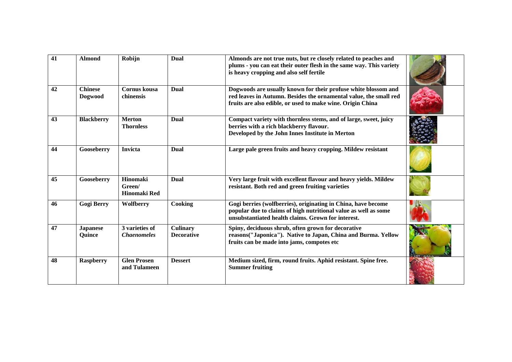| 41 | <b>Almond</b>             | Robijn                               | Dual                                 | Almonds are not true nuts, but re closely related to peaches and<br>plums - you can eat their outer flesh in the same way. This variety<br>is heavy cropping and also self fertile                |  |
|----|---------------------------|--------------------------------------|--------------------------------------|---------------------------------------------------------------------------------------------------------------------------------------------------------------------------------------------------|--|
| 42 | <b>Chinese</b><br>Dogwood | <b>Cornus</b> kousa<br>chinensis     | Dual                                 | Dogwoods are usually known for their profuse white blossom and<br>red leaves in Autumn. Besides the ornamental value, the small red<br>fruits are also edible, or used to make wine. Origin China |  |
| 43 | <b>Blackberry</b>         | <b>Merton</b><br><b>Thornless</b>    | Dual                                 | Compact variety with thornless stems, and of large, sweet, juicy<br>berries with a rich blackberry flavour.<br>Developed by the John Innes Institute in Merton                                    |  |
| 44 | Gooseberry                | <b>Invicta</b>                       | Dual                                 | Large pale green fruits and heavy cropping. Mildew resistant                                                                                                                                      |  |
| 45 | Gooseberry                | Hinomaki<br>Green/<br>Hinomaki Red   | Dual                                 | Very large fruit with excellent flavour and heavy yields. Mildew<br>resistant. Both red and green fruiting varieties                                                                              |  |
| 46 | <b>Gogi Berry</b>         | Wolfberry                            | Cooking                              | Gogi berries (wolfberries), originating in China, have become<br>popular due to claims of high nutritional value as well as some<br>unsubstantiated health claims. Grown for interest.            |  |
| 47 | <b>Japanese</b><br>Quince | 3 varieties of<br><b>Chaenomeles</b> | <b>Culinary</b><br><b>Decorative</b> | Spiny, deciduous shrub, often grown for decorative<br>reasons("Japonica"). Native to Japan, China and Burma. Yellow<br>fruits can be made into jams, compotes etc                                 |  |
| 48 | <b>Raspberry</b>          | <b>Glen Prosen</b><br>and Tulameen   | <b>Dessert</b>                       | Medium sized, firm, round fruits. Aphid resistant. Spine free.<br><b>Summer fruiting</b>                                                                                                          |  |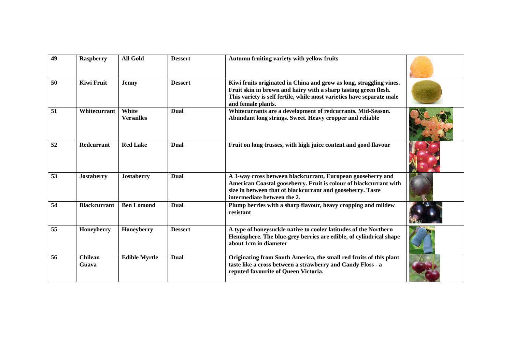| 49 | <b>Raspberry</b>        | <b>All Gold</b>            | <b>Dessert</b> | Autumn fruiting variety with yellow fruits                                                                                                                                                                                            |  |
|----|-------------------------|----------------------------|----------------|---------------------------------------------------------------------------------------------------------------------------------------------------------------------------------------------------------------------------------------|--|
| 50 | <b>Kiwi Fruit</b>       | <b>Jenny</b>               | <b>Dessert</b> | Kiwi fruits originated in China and grow as long, straggling vines.<br>Fruit skin in brown and hairy with a sharp tasting green flesh.<br>This variety is self fertile, while most varieties have separate male<br>and female plants. |  |
| 51 | Whitecurrant            | White<br><b>Versailles</b> | Dual           | Whitecurrants are a development of redcurrants. Mid-Season.<br>Abundant long strings. Sweet. Heavy cropper and reliable                                                                                                               |  |
| 52 | <b>Redcurrant</b>       | <b>Red Lake</b>            | Dual           | Fruit on long trusses, with high juice content and good flavour                                                                                                                                                                       |  |
| 53 | <b>Jostaberry</b>       | <b>Jostaberry</b>          | Dual           | A 3-way cross between blackcurrant, European gooseberry and<br>American Coastal gooseberry. Fruit is colour of blackcurrant with<br>size in between that of blackcurrant and gooseberry. Taste<br>intermediate between the 2.         |  |
| 54 | <b>Blackcurrant</b>     | <b>Ben Lomond</b>          | Dual           | Plump berries with a sharp flavour, heavy cropping and mildew<br>resistant                                                                                                                                                            |  |
| 55 | Honeyberry              | Honeyberry                 | <b>Dessert</b> | A type of honeysuckle native to cooler latitudes of the Northern<br>Hemisphere. The blue-grey berries are edible, of cylindrical shape<br>about 1cm in diameter                                                                       |  |
| 56 | <b>Chilean</b><br>Guava | <b>Edible Myrtle</b>       | Dual           | Originating from South America, the small red fruits of this plant<br>taste like a cross between a strawberry and Candy Floss - a<br>reputed favourite of Queen Victoria.                                                             |  |